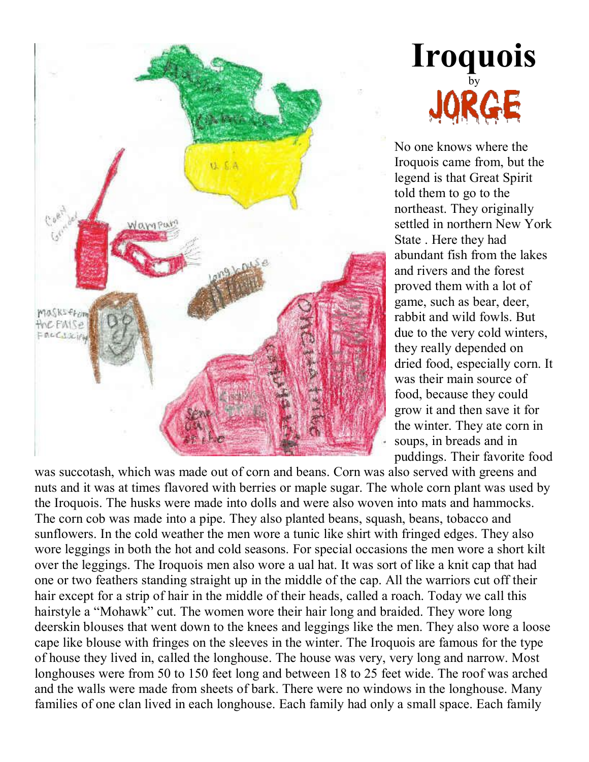



No one knows where the Iroquois came from, but the legend is that Great Spirit told them to go to the northeast. They originally settled in northern New York State . Here they had abundant fish from the lakes and rivers and the forest proved them with a lot of game, such as bear, deer, rabbit and wild fowls. But due to the very cold winters, they really depended on dried food, especially corn. It was their main source of food, because they could grow it and then save it for the winter. They ate corn in soups, in breads and in puddings. Their favorite food

was succotash, which was made out of corn and beans. Corn was also served with greens and nuts and it was at times flavored with berries or maple sugar. The whole corn plant was used by the Iroquois. The husks were made into dolls and were also woven into mats and hammocks. The corn cob was made into a pipe. They also planted beans, squash, beans, tobacco and sunflowers. In the cold weather the men wore a tunic like shirt with fringed edges. They also wore leggings in both the hot and cold seasons. For special occasions the men wore a short kilt over the leggings. The Iroquois men also wore a ual hat. It was sort of like a knit cap that had one or two feathers standing straight up in the middle of the cap. All the warriors cut off their hair except for a strip of hair in the middle of their heads, called a roach. Today we call this hairstyle a "Mohawk" cut. The women wore their hair long and braided. They wore long deerskin blouses that went down to the knees and leggings like the men. They also wore a loose cape like blouse with fringes on the sleeves in the winter. The Iroquois are famous for the type of house they lived in, called the longhouse. The house was very, very long and narrow. Most longhouses were from 50 to 150 feet long and between 18 to 25 feet wide. The roof was arched and the walls were made from sheets of bark. There were no windows in the longhouse. Many families of one clan lived in each longhouse. Each family had only a small space. Each family